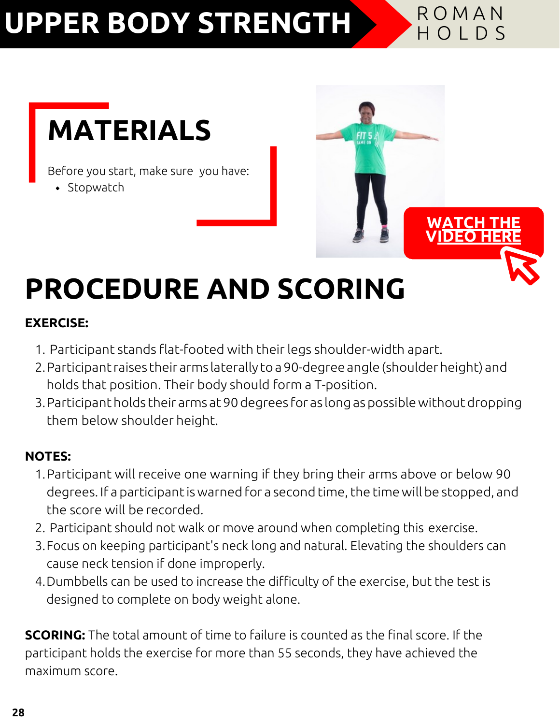# **UPPER BODY STRENGTH A ROMAN**



Before you start, make sure you have:

• Stopwatch



# **PROCEDURE AND SCORING**

### **EXERCISE:**

- 1. Participant stands flat-footed with their legs shoulder-width apart.
- 2.Participantraises their arms laterally to a 90-degreeangle (shoulderheight) and holds that position. Their body should form a T-position.
- 3.Participantholds their arms at90degrees for as longaspossiblewithoutdropping them below shoulder height.

### **NOTES:**

- 1.Participant will receive one warning if they bring their arms above or below 90 degrees. If a participant is warned for a second time, the time will be stopped, and the score will be recorded.
- 2. Participant should not walk or move around when completing this exercise.
- 3.Focus on keeping participant's neck long and natural. Elevating the shoulders can cause neck tension if done improperly.
- 4.Dumbbells can be used to increase the difficulty of the exercise, but the test is designed to complete on body weight alone.

**SCORING:** The total amount of time to failure is counted as the final score. If the participant holds the exercise for more than 55 seconds, they have achieved the maximum score.